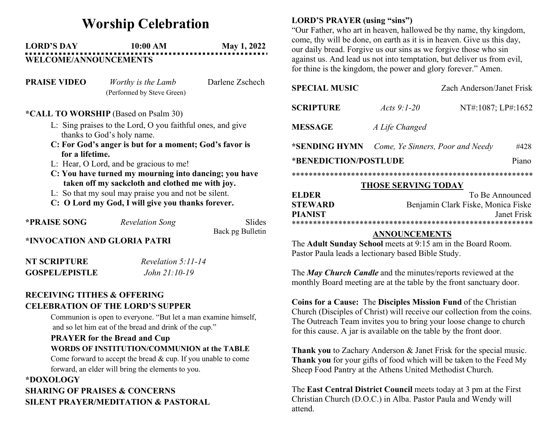# Worship Celebration

## LORD'S DAY 10:00 AM May 1, 2022 WELCOME/ANNOUNCEMENTS

| <b>PRAISE VIDEO</b> | Worthy is the Lamb         | Darlene Zschech |
|---------------------|----------------------------|-----------------|
|                     | (Performed by Steve Green) |                 |

#### \*CALL TO WORSHIP (Based on Psalm 30)

- L: Sing praises to the Lord, O you faithful ones, and give thanks to God's holy name.
- C: For God's anger is but for a moment; God's favor is for a lifetime.
- L: Hear, O Lord, and be gracious to me!
- C: You have turned my mourning into dancing; you have taken off my sackcloth and clothed me with joy.
- L: So that my soul may praise you and not be silent.
- C: O Lord my God, I will give you thanks forever.

| <b>*PRAISE SONG</b>          | <b>Revelation Song</b> | <b>Slides</b>    |
|------------------------------|------------------------|------------------|
|                              |                        | Back pg Bulletin |
| *INVOCATION AND GLORIA PATRI |                        |                  |
| <b>NT SCRIPTURE</b>          | Revelation 5:11-14     |                  |
| <b>GOSPEL/EPISTLE</b>        | John 21:10-19          |                  |

## RECEIVING TITHES & OFFERING CELEBRATION OF THE LORD'S SUPPER

Communion is open to everyone. "But let a man examine himself, and so let him eat of the bread and drink of the cup."

## PRAYER for the Bread and Cup WORDS OF INSTITUTION/COMMUNION at the TABLE Come forward to accept the bread & cup. If you unable to come forward, an elder will bring the elements to you.

#### \*DOXOLOGY SHARING OF PRAISES & CONCERNS

# SILENT PRAYER/MEDITATION & PASTORAL

## LORD'S PRAYER (using "sins")

"Our Father, who art in heaven, hallowed be thy name, thy kingdom, come, thy will be done, on earth as it is in heaven. Give us this day, our daily bread. Forgive us our sins as we forgive those who sin against us. And lead us not into temptation, but deliver us from evil, for thine is the kingdom, the power and glory forever." Amen.

| <b>SPECIAL MUSIC</b>           |                                  | Zach Anderson/Janet Frisk |      |  |
|--------------------------------|----------------------------------|---------------------------|------|--|
| <b>SCRIPTURE</b>               | Acts $9:1-20$                    | NT#:1087; LP#:1652        |      |  |
| <b>MESSAGE</b>                 | A Life Changed                   |                           |      |  |
| *SENDING HYMN                  | Come, Ye Sinners, Poor and Needy |                           | #428 |  |
| *BENEDICTION/POSTLUDE<br>Piano |                                  |                           |      |  |
|                                |                                  |                           |      |  |

#### THOSE SERVING TODAY

| <b>ELDER</b>   | To Be Announced                    |  |  |
|----------------|------------------------------------|--|--|
| <b>STEWARD</b> | Benjamin Clark Fiske, Monica Fiske |  |  |
| <b>PIANIST</b> | Janet Frisk                        |  |  |
|                |                                    |  |  |

### ANNOUNCEMENTS

The Adult Sunday School meets at 9:15 am in the Board Room. Pastor Paula leads a lectionary based Bible Study.

The *May Church Candle* and the minutes/reports reviewed at the monthly Board meeting are at the table by the front sanctuary door.

Coins for a Cause: The Disciples Mission Fund of the Christian Church (Disciples of Christ) will receive our collection from the coins. The Outreach Team invites you to bring your loose change to church for this cause. A jar is available on the table by the front door.

Thank you to Zachary Anderson & Janet Frisk for the special music. Thank you for your gifts of food which will be taken to the Feed My Sheep Food Pantry at the Athens United Methodist Church.

The East Central District Council meets today at 3 pm at the First Christian Church (D.O.C.) in Alba. Pastor Paula and Wendy will attend.